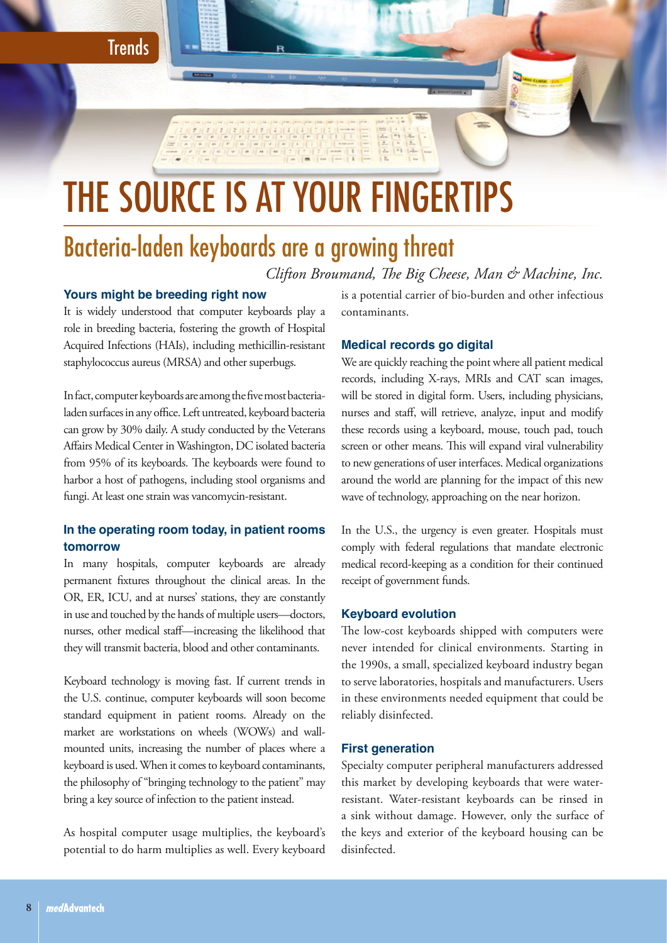**Trends** 

# THE SOURCE IS AT YOUR FINGERTIPS

# Bacteria-laden keyboards are a growing threat

*Clifton Broumand, The Big Cheese, Man & Machine, Inc.*

# **Yours might be breeding right now**

It is widely understood that computer keyboards play a role in breeding bacteria, fostering the growth of Hospital Acquired Infections (HAIs), including methicillin-resistant staphylococcus aureus (MRSA) and other superbugs.

In fact, computer keyboards are among the five most bacterialaden surfaces in any office. Left untreated, keyboard bacteria can grow by 30% daily. A study conducted by the Veterans Affairs Medical Center in Washington, DC isolated bacteria from 95% of its keyboards. The keyboards were found to harbor a host of pathogens, including stool organisms and fungi. At least one strain was vancomycin-resistant.

## **In the operating room today, in patient rooms tomorrow**

In many hospitals, computer keyboards are already permanent fixtures throughout the clinical areas. In the OR, ER, ICU, and at nurses' stations, they are constantly in use and touched by the hands of multiple users—doctors, nurses, other medical staff—increasing the likelihood that they will transmit bacteria, blood and other contaminants.

Keyboard technology is moving fast. If current trends in the U.S. continue, computer keyboards will soon become standard equipment in patient rooms. Already on the market are workstations on wheels (WOWs) and wallmounted units, increasing the number of places where a keyboard is used. When it comes to keyboard contaminants, the philosophy of "bringing technology to the patient" may bring a key source of infection to the patient instead.

As hospital computer usage multiplies, the keyboard's potential to do harm multiplies as well. Every keyboard is a potential carrier of bio-burden and other infectious contaminants.

### **Medical records go digital**

 $\frac{1}{2\pi}\frac{1}{\sqrt{2\pi}}\frac{1}{\sqrt{2\pi}}\frac{1}{\sqrt{2\pi}}\frac{1}{\sqrt{2\pi}}\frac{1}{\sqrt{2\pi}}\frac{1}{\sqrt{2\pi}}\frac{1}{\sqrt{2\pi}}\frac{1}{\sqrt{2\pi}}\frac{1}{\sqrt{2\pi}}\frac{1}{\sqrt{2\pi}}\frac{1}{\sqrt{2\pi}}\frac{1}{\sqrt{2\pi}}\frac{1}{\sqrt{2\pi}}\frac{1}{\sqrt{2\pi}}\frac{1}{\sqrt{2\pi}}\frac{1}{\sqrt{2\pi}}\frac{1}{\sqrt{2\pi}}\frac{1}{\sqrt{$ 

We are quickly reaching the point where all patient medical records, including X-rays, MRIs and CAT scan images, will be stored in digital form. Users, including physicians, nurses and staff, will retrieve, analyze, input and modify these records using a keyboard, mouse, touch pad, touch screen or other means. This will expand viral vulnerability to new generations of user interfaces. Medical organizations around the world are planning for the impact of this new wave of technology, approaching on the near horizon.

In the U.S., the urgency is even greater. Hospitals must comply with federal regulations that mandate electronic medical record-keeping as a condition for their continued receipt of government funds.

#### **Keyboard evolution**

The low-cost keyboards shipped with computers were never intended for clinical environments. Starting in the 1990s, a small, specialized keyboard industry began to serve laboratories, hospitals and manufacturers. Users in these environments needed equipment that could be reliably disinfected.

#### **First generation**

Specialty computer peripheral manufacturers addressed this market by developing keyboards that were waterresistant. Water-resistant keyboards can be rinsed in a sink without damage. However, only the surface of the keys and exterior of the keyboard housing can be disinfected.